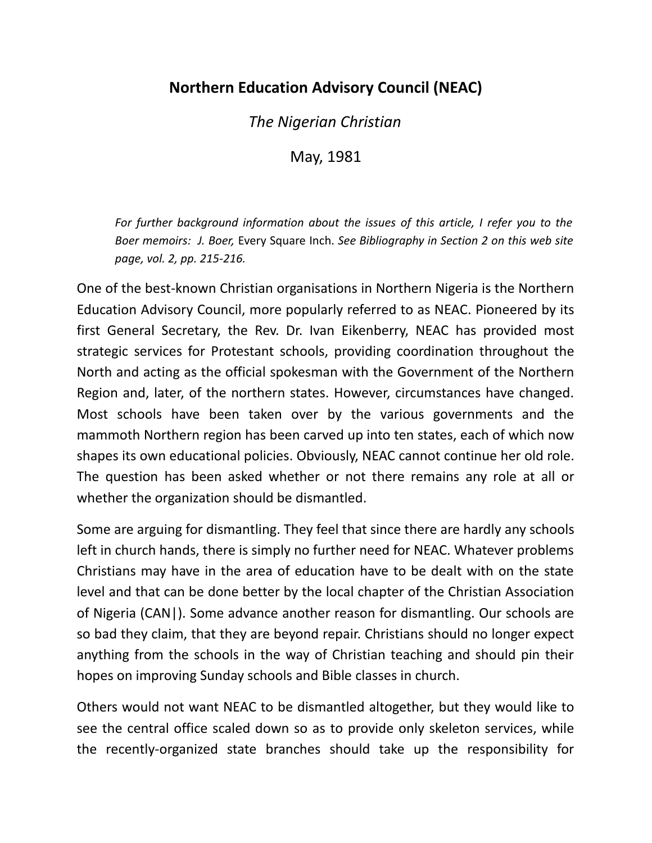## **Northern Education Advisory Council (NEAC)**

*The Nigerian Christian*

May, 1981

*For further background information about the issues of this article, I refer you to the Boer memoirs: J. Boer,* Every Square Inch. *See Bibliography in Section 2 on this web site page, vol. 2, pp. 215-216.*

One of the best-known Christian organisations in Northern Nigeria is the Northern Education Advisory Council, more popularly referred to as NEAC. Pioneered by its first General Secretary, the Rev. Dr. Ivan Eikenberry, NEAC has provided most strategic services for Protestant schools, providing coordination throughout the North and acting as the official spokesman with the Government of the Northern Region and, later, of the northern states. However, circumstances have changed. Most schools have been taken over by the various governments and the mammoth Northern region has been carved up into ten states, each of which now shapes its own educational policies. Obviously, NEAC cannot continue her old role. The question has been asked whether or not there remains any role at all or whether the organization should be dismantled.

Some are arguing for dismantling. They feel that since there are hardly any schools left in church hands, there is simply no further need for NEAC. Whatever problems Christians may have in the area of education have to be dealt with on the state level and that can be done better by the local chapter of the Christian Association of Nigeria (CAN|). Some advance another reason for dismantling. Our schools are so bad they claim, that they are beyond repair. Christians should no longer expect anything from the schools in the way of Christian teaching and should pin their hopes on improving Sunday schools and Bible classes in church.

Others would not want NEAC to be dismantled altogether, but they would like to see the central office scaled down so as to provide only skeleton services, while the recently-organized state branches should take up the responsibility for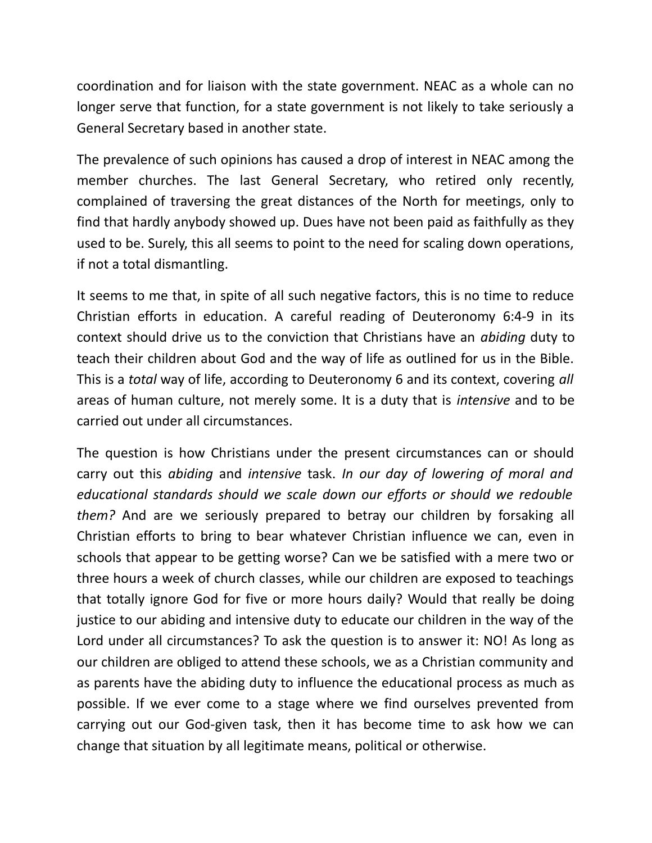coordination and for liaison with the state government. NEAC as a whole can no longer serve that function, for a state government is not likely to take seriously a General Secretary based in another state.

The prevalence of such opinions has caused a drop of interest in NEAC among the member churches. The last General Secretary, who retired only recently, complained of traversing the great distances of the North for meetings, only to find that hardly anybody showed up. Dues have not been paid as faithfully as they used to be. Surely, this all seems to point to the need for scaling down operations, if not a total dismantling.

It seems to me that, in spite of all such negative factors, this is no time to reduce Christian efforts in education. A careful reading of Deuteronomy 6:4-9 in its context should drive us to the conviction that Christians have an *abiding* duty to teach their children about God and the way of life as outlined for us in the Bible. This is a *total* way of life, according to Deuteronomy 6 and its context, covering *all* areas of human culture, not merely some. It is a duty that is *intensive* and to be carried out under all circumstances.

The question is how Christians under the present circumstances can or should carry out this *abiding* and *intensive* task. *In our day of lowering of moral and educational standards should we scale down our efforts or should we redouble them?* And are we seriously prepared to betray our children by forsaking all Christian efforts to bring to bear whatever Christian influence we can, even in schools that appear to be getting worse? Can we be satisfied with a mere two or three hours a week of church classes, while our children are exposed to teachings that totally ignore God for five or more hours daily? Would that really be doing justice to our abiding and intensive duty to educate our children in the way of the Lord under all circumstances? To ask the question is to answer it: NO! As long as our children are obliged to attend these schools, we as a Christian community and as parents have the abiding duty to influence the educational process as much as possible. If we ever come to a stage where we find ourselves prevented from carrying out our God-given task, then it has become time to ask how we can change that situation by all legitimate means, political or otherwise.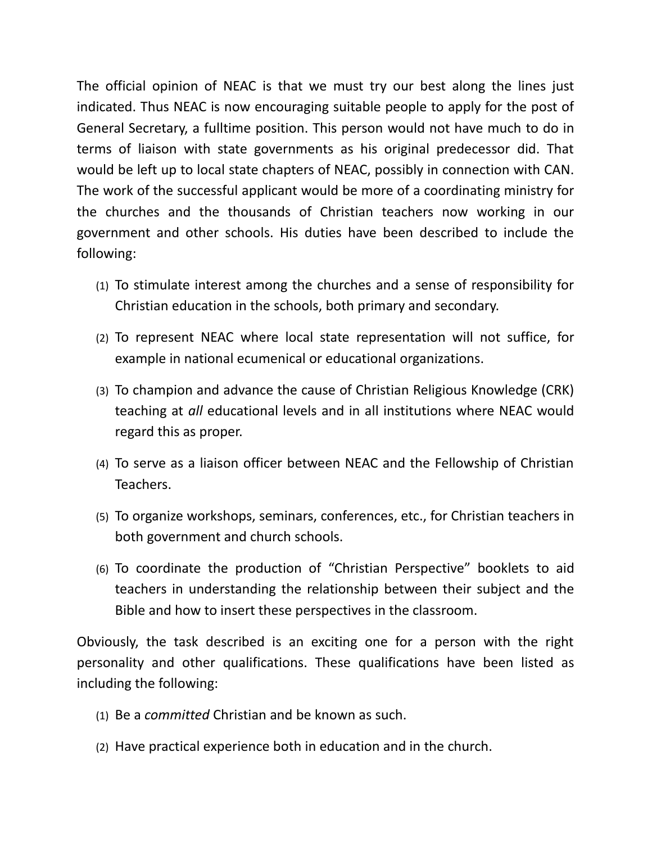The official opinion of NEAC is that we must try our best along the lines just indicated. Thus NEAC is now encouraging suitable people to apply for the post of General Secretary, a fulltime position. This person would not have much to do in terms of liaison with state governments as his original predecessor did. That would be left up to local state chapters of NEAC, possibly in connection with CAN. The work of the successful applicant would be more of a coordinating ministry for the churches and the thousands of Christian teachers now working in our government and other schools. His duties have been described to include the following:

- (1) To stimulate interest among the churches and a sense of responsibility for Christian education in the schools, both primary and secondary.
- (2) To represent NEAC where local state representation will not suffice, for example in national ecumenical or educational organizations.
- (3) To champion and advance the cause of Christian Religious Knowledge (CRK) teaching at *all* educational levels and in all institutions where NEAC would regard this as proper.
- (4) To serve as a liaison officer between NEAC and the Fellowship of Christian Teachers.
- (5) To organize workshops, seminars, conferences, etc., for Christian teachers in both government and church schools.
- (6) To coordinate the production of "Christian Perspective" booklets to aid teachers in understanding the relationship between their subject and the Bible and how to insert these perspectives in the classroom.

Obviously, the task described is an exciting one for a person with the right personality and other qualifications. These qualifications have been listed as including the following:

- (1) Be a *committed* Christian and be known as such.
- (2) Have practical experience both in education and in the church.